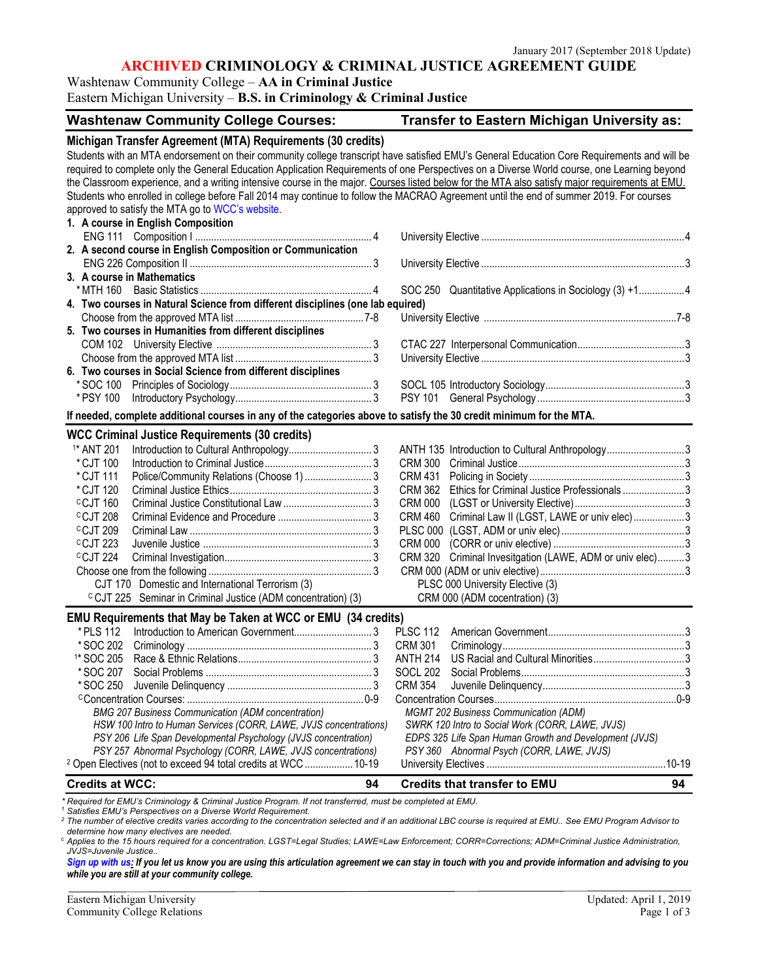#### **ARCHIVED CRIMINOLOGY & CRIMINAL JUSTICE AGREEMENT GUIDE**

Washtenaw Community College – **AA in Criminal Justice**

Eastern Michigan University – **B.S. in Criminology & Criminal Justice**

| Transfer to Eastern Michigan University as:<br><b>Washtenaw Community College Courses:</b>                                                      |                                                          |  |
|-------------------------------------------------------------------------------------------------------------------------------------------------|----------------------------------------------------------|--|
| Michigan Transfer Agreement (MTA) Requirements (30 credits)                                                                                     |                                                          |  |
| Students with an MTA endorsement on their community college transcript have satisfied EMU's General Education Core Requirements and will be     |                                                          |  |
| required to complete only the General Education Application Requirements of one Perspectives on a Diverse World course, one Learning beyond     |                                                          |  |
| the Classroom experience, and a writing intensive course in the major. Courses listed below for the MTA also satisfy major requirements at EMU. |                                                          |  |
| Students who enrolled in college before Fall 2014 may continue to follow the MACRAO Agreement until the end of summer 2019. For courses         |                                                          |  |
| approved to satisfy the MTA go to WCC's website.                                                                                                |                                                          |  |
| 1. A course in English Composition                                                                                                              |                                                          |  |
|                                                                                                                                                 |                                                          |  |
| 2. A second course in English Composition or Communication                                                                                      |                                                          |  |
|                                                                                                                                                 |                                                          |  |
| 3. A course in Mathematics                                                                                                                      |                                                          |  |
| * MTH 160                                                                                                                                       | SOC 250 Quantitative Applications in Sociology (3) +14   |  |
| 4. Two courses in Natural Science from different disciplines (one lab equired)                                                                  |                                                          |  |
|                                                                                                                                                 |                                                          |  |
| 5. Two courses in Humanities from different disciplines                                                                                         |                                                          |  |
|                                                                                                                                                 |                                                          |  |
|                                                                                                                                                 |                                                          |  |
| 6. Two courses in Social Science from different disciplines                                                                                     |                                                          |  |
|                                                                                                                                                 |                                                          |  |
| * PSY 100                                                                                                                                       |                                                          |  |
| If needed, complete additional courses in any of the categories above to satisfy the 30 credit minimum for the MTA.                             |                                                          |  |
| <b>WCC Criminal Justice Requirements (30 credits)</b>                                                                                           |                                                          |  |
| <sup>1*</sup> ANT 201                                                                                                                           | ANTH 135 Introduction to Cultural Anthropology3          |  |
| * CJT 100                                                                                                                                       |                                                          |  |
| *CJT 111<br>Police/Community Relations (Choose 1)  3                                                                                            | CRM 431                                                  |  |
| * CJT 120                                                                                                                                       | CRM 362 Ethics for Criminal Justice Professionals3       |  |
| <sup>C</sup> CJT 160                                                                                                                            |                                                          |  |
| <sup>C</sup> CJT 208                                                                                                                            | CRM 460 Criminal Law II (LGST, LAWE or univ elec) 3      |  |
| <sup>c</sup> CJT 209                                                                                                                            |                                                          |  |
| <sup>C</sup> CJT 223                                                                                                                            |                                                          |  |
| <sup>c</sup> CJT 224                                                                                                                            | CRM 320 Criminal Invesitgation (LAWE, ADM or univ elec)3 |  |
|                                                                                                                                                 |                                                          |  |
| CJT 170 Domestic and International Terrorism (3)<br>PLSC 000 University Elective (3)                                                            |                                                          |  |
| <sup>c</sup> CJT 225 Seminar in Criminal Justice (ADM concentration) (3)                                                                        | CRM 000 (ADM cocentration) (3)                           |  |
| EMU Requirements that May be Taken at WCC or EMU (34 credits)                                                                                   |                                                          |  |
| * PLS 112                                                                                                                                       | <b>PLSC 112</b>                                          |  |
| * SOC 202                                                                                                                                       | CRM 301                                                  |  |
|                                                                                                                                                 |                                                          |  |
| * SOC 207                                                                                                                                       | SOCL 202                                                 |  |
| * SOC 250                                                                                                                                       | <b>CRM 354</b>                                           |  |
|                                                                                                                                                 |                                                          |  |
| <b>BMG 207 Business Communication (ADM concentration)</b><br><b>MGMT 202 Business Communication (ADM)</b>                                       |                                                          |  |
| HSW 100 Intro to Human Services (CORR, LAWE, JVJS concentrations)<br>SWRK 120 Intro to Social Work (CORR, LAWE, JVJS)                           |                                                          |  |
| PSY 206 Life Span Developmental Psychology (JVJS concentration)                                                                                 | EDPS 325 Life Span Human Growth and Development (JVJS)   |  |
| PSY 257 Abnormal Psychology (CORR, LAWE, JVJS concentrations)                                                                                   | PSY 360 Abnormal Psych (CORR, LAWE, JVJS)                |  |
| <sup>2</sup> Open Electives (not to exceed 94 total credits at WCC  10-19                                                                       |                                                          |  |
| <b>Credits at WCC:</b><br>94                                                                                                                    | <b>Credits that transfer to EMU</b><br>94                |  |

*\* Required for EMU's Criminology & Criminal Justice Program. If not transferred, must be completed at EMU. <sup>1</sup> Satisfies EMU's Perspectives on a Diverse World Requirement.*

*<sup>2</sup> The number of elective credits varies according to the concentration selected and if an additional LBC course is required at EMU.. See EMU Program Advisor to determine how many electives are needed.*

<sup>c</sup> *Applies to the 15 hours required for a concentration. LGST=Legal Studies; LAWE=Law Enforcement; CORR=Corrections; ADM=Criminal Justice Administration, JVJS=Juvenile Justice..*

*[Sign up with us:](https://www.emich.edu/ccr/articulation-agreements/signup.php) If you let us know you are using this articulation agreement we can stay in touch with you and provide information and advising to you while you are still at your community college.*

Eastern Michigan University Updated: April 1, 2019 Community College Relations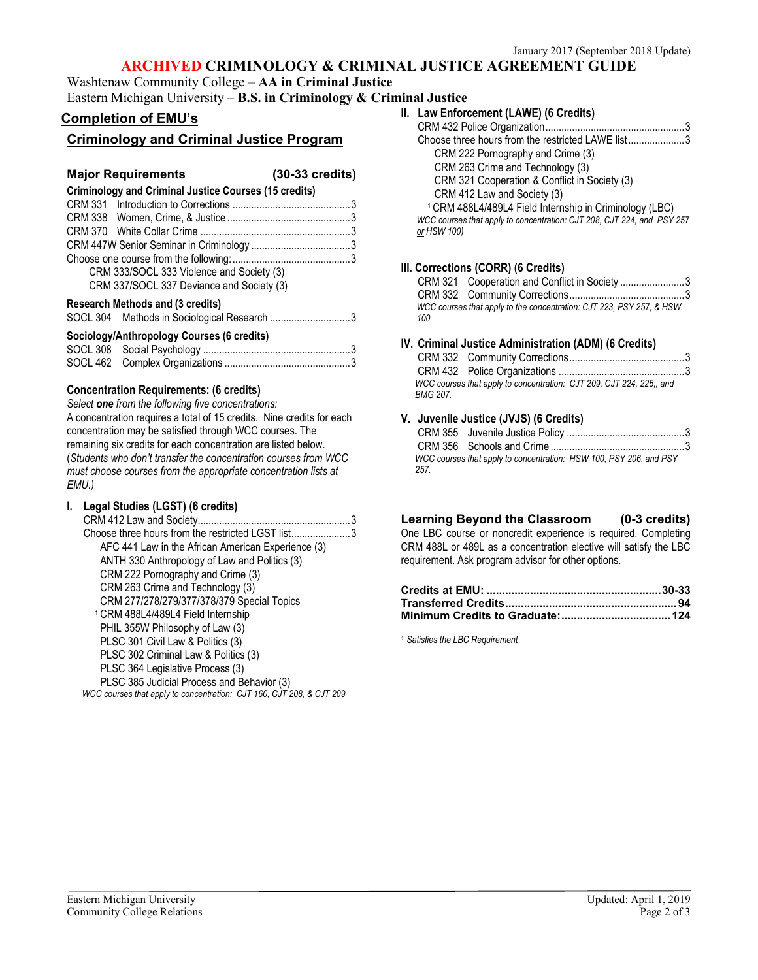## **ARCHIVED CRIMINOLOGY & CRIMINAL JUSTICE AGREEMENT GUIDE**

Washtenaw Community College – **AA in Criminal Justice**

# Eastern Michigan University – **B.S. in Criminology & Criminal Justice**

## **Completion of EMU's**

## **Criminology and Criminal Justice Program**

### **Major Requirements (30-33 credits)**

| <b>Criminology and Criminal Justice Courses (15 credits)</b> |  |
|--------------------------------------------------------------|--|
|                                                              |  |
|                                                              |  |
|                                                              |  |
|                                                              |  |
|                                                              |  |
| CRM 333/SOCL 333 Violence and Society (3)                    |  |
| CRM 337/SOCL 337 Deviance and Society (3)                    |  |
| Desserah Methade and (2 section)                             |  |

#### **Research Methods and (3 credits)**

| Sociology/Anthropology Courses (6 credits) |  |
|--------------------------------------------|--|
|                                            |  |
|                                            |  |

#### **Concentration Requirements: (6 credits)**

*Select one from the following five concentrations:* A concentration requires a total of 15 credits. Nine credits for each concentration may be satisfied through WCC courses. The remaining six credits for each concentration are listed below. (*Students who don't transfer the concentration courses from WCC must choose courses from the appropriate concentration lists at EMU.)*

### **I. Legal Studies (LGST) (6 credits)**

CRM 412 Law and Society.........................................................3 Choose three hours from the restricted LGST list......................3 AFC 441 Law in the African American Experience (3) ANTH 330 Anthropology of Law and Politics (3) CRM 222 Pornography and Crime (3) CRM 263 Crime and Technology (3) CRM 277/278/279/377/378/379 Special Topics <sup>1</sup> CRM 488L4/489L4 Field Internship PHIL 355W Philosophy of Law (3) PLSC 301 Civil Law & Politics (3) PLSC 302 Criminal Law & Politics (3) PLSC 364 Legislative Process (3) PLSC 385 Judicial Process and Behavior (3) *WCC courses that apply to concentration: CJT 160, CJT 208, & CJT 209* 

| ınal Justice |                                                                        |
|--------------|------------------------------------------------------------------------|
|              | II. Law Enforcement (LAWE) (6 Credits)                                 |
|              |                                                                        |
|              | Choose three hours from the restricted LAWE list3                      |
|              | CRM 222 Pornography and Crime (3)                                      |
|              | CRM 263 Crime and Technology (3)                                       |
|              | CRM 321 Cooperation & Conflict in Society (3)                          |
|              | CRM 412 Law and Society (3)                                            |
|              | <sup>1</sup> CRM 488L4/489L4 Field Internship in Criminology (LBC)     |
|              | WCC courses that apply to concentration: CJT 208, CJT 224, and PSY 257 |
|              | or HSW 100)                                                            |
|              |                                                                        |
|              |                                                                        |

### **III. Corrections (CORR) (6 Credits)**

|                                                                             | CRM 321 Cooperation and Conflict in Society 3 |  |
|-----------------------------------------------------------------------------|-----------------------------------------------|--|
|                                                                             |                                               |  |
| WCC courses that apply to the concentration: CJT 223, PSY 257, & HSW<br>100 |                                               |  |

#### **IV. Criminal Justice Administration (ADM) (6 Credits)**

| BMG 207. | WCC courses that apply to concentration: CJT 209, CJT 224, 225., and |  |
|----------|----------------------------------------------------------------------|--|

### **V. Juvenile Justice (JVJS) (6 Credits)**

| 257 | WCC courses that apply to concentration: HSW 100, PSY 206, and PSY |  |
|-----|--------------------------------------------------------------------|--|

## **Learning Beyond the Classroom (0-3 credits)**

One LBC course or noncredit experience is required. Completing CRM 488L or 489L as a concentration elective will satisfy the LBC requirement. Ask program advisor for other options.

*<sup>1</sup> Satisfies the LBC Requirement*